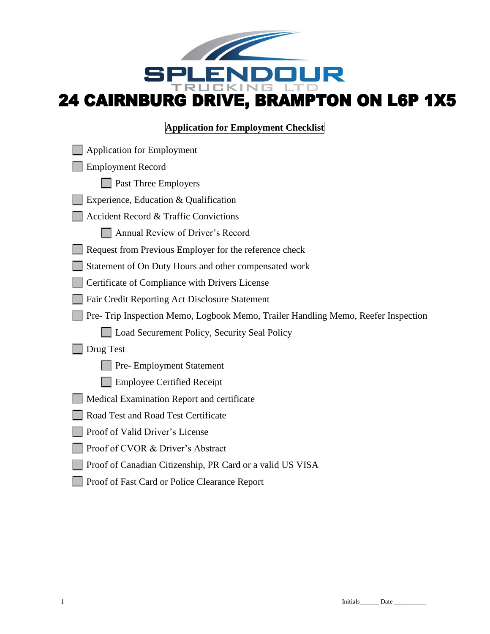

# **Application for Employment Checklist**

| <b>Application for Employment</b>                                                 |
|-----------------------------------------------------------------------------------|
| <b>Employment Record</b>                                                          |
| Past Three Employers                                                              |
| Experience, Education & Qualification                                             |
| <b>Accident Record &amp; Traffic Convictions</b>                                  |
| Annual Review of Driver's Record                                                  |
| Request from Previous Employer for the reference check                            |
| Statement of On Duty Hours and other compensated work                             |
| Certificate of Compliance with Drivers License                                    |
| Fair Credit Reporting Act Disclosure Statement                                    |
| Pre- Trip Inspection Memo, Logbook Memo, Trailer Handling Memo, Reefer Inspection |
| Load Securement Policy, Security Seal Policy                                      |
| Drug Test                                                                         |
| Pre- Employment Statement                                                         |
| <b>Employee Certified Receipt</b>                                                 |
| Medical Examination Report and certificate                                        |
| Road Test and Road Test Certificate                                               |
| Proof of Valid Driver's License                                                   |
| Proof of CVOR & Driver's Abstract                                                 |
| Proof of Canadian Citizenship, PR Card or a valid US VISA                         |
| Proof of Fast Card or Police Clearance Report                                     |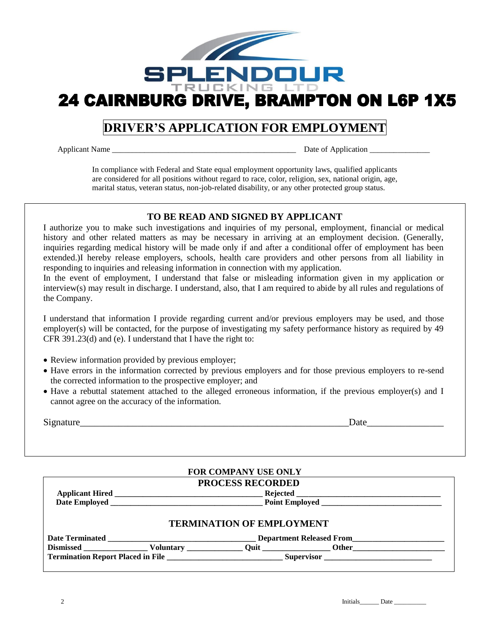

# **DRIVER'S APPLICATION FOR EMPLOYMENT**

Applicant Name \_\_\_\_\_\_\_\_\_\_\_\_\_\_\_\_\_\_\_\_\_\_\_\_\_\_\_\_\_\_\_\_\_\_\_\_\_\_\_\_\_\_\_\_\_\_ Date of Application \_\_\_\_\_\_\_\_\_\_\_\_\_\_\_

In compliance with Federal and State equal employment opportunity laws, qualified applicants are considered for all positions without regard to race, color, religion, sex, national origin, age, marital status, veteran status, non-job-related disability, or any other protected group status.

### **TO BE READ AND SIGNED BY APPLICANT**

I authorize you to make such investigations and inquiries of my personal, employment, financial or medical history and other related matters as may be necessary in arriving at an employment decision. (Generally, inquiries regarding medical history will be made only if and after a conditional offer of employment has been extended.)I hereby release employers, schools, health care providers and other persons from all liability in responding to inquiries and releasing information in connection with my application.

In the event of employment, I understand that false or misleading information given in my application or interview(s) may result in discharge. I understand, also, that I am required to abide by all rules and regulations of the Company.

I understand that information I provide regarding current and/or previous employers may be used, and those employer(s) will be contacted, for the purpose of investigating my safety performance history as required by 49 CFR 391.23(d) and (e). I understand that I have the right to:

- Review information provided by previous employer;
- Have errors in the information corrected by previous employers and for those previous employers to re-send the corrected information to the prospective employer; and
- Have a rebuttal statement attached to the alleged erroneous information, if the previous employer(s) and I cannot agree on the accuracy of the information.

| $\sim$ | $\cdots$ |
|--------|----------|
|        | -        |
|        | ___      |
|        |          |

|  |                                                                                                                                                                                                                                | <b>FOR COMPANY USE ONLY</b>      |  |  |
|--|--------------------------------------------------------------------------------------------------------------------------------------------------------------------------------------------------------------------------------|----------------------------------|--|--|
|  |                                                                                                                                                                                                                                | <b>PROCESS RECORDED</b>          |  |  |
|  |                                                                                                                                                                                                                                |                                  |  |  |
|  |                                                                                                                                                                                                                                |                                  |  |  |
|  |                                                                                                                                                                                                                                | <b>TERMINATION OF EMPLOYMENT</b> |  |  |
|  | Dismissed Voluntary Quit Other Other Channels Other Channels Community Community Community Community Community Community Community Community Community Community Community Community Community Community Community Community C |                                  |  |  |
|  |                                                                                                                                                                                                                                |                                  |  |  |
|  |                                                                                                                                                                                                                                |                                  |  |  |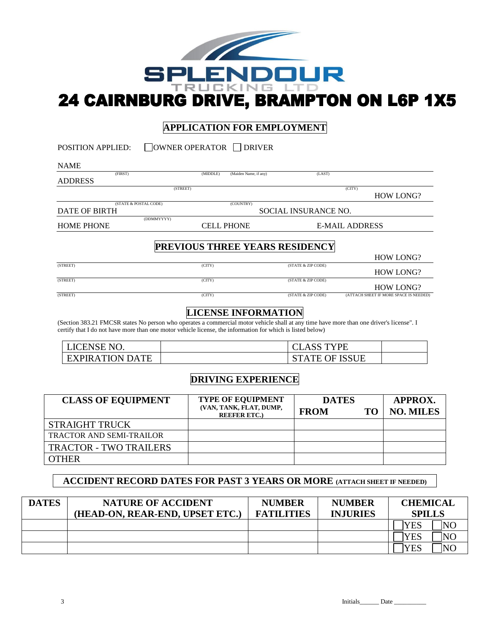

# **APPLICATION FOR EMPLOYMENT**

| <b>POSITION APPLIED:</b>  | $\Box$ OWNER OPERATOR $\Box$ DRIVER |                       |                      |                                        |
|---------------------------|-------------------------------------|-----------------------|----------------------|----------------------------------------|
| <b>NAME</b>               |                                     |                       |                      |                                        |
| (FIRST)<br><b>ADDRESS</b> | (MIDDLE)                            | (Maiden Name, if any) | (LAST)               |                                        |
|                           | (STREET)                            |                       |                      | (CITY)<br><b>HOW LONG?</b>             |
| <b>DATE OF BIRTH</b>      | (STATE & POSTAL CODE)               | (COUNTRY)             | SOCIAL INSURANCE NO. |                                        |
| <b>HOME PHONE</b>         | (DDMMYYYY)                          | <b>CELL PHONE</b>     |                      | <b>E-MAIL ADDRESS</b>                  |
|                           | PREVIOUS THREE YEARS RESIDENCY      |                       |                      | <b>HOW LONG?</b>                       |
| (STREET)                  | (CITY)                              |                       | (STATE & ZIP CODE)   | <b>HOW LONG?</b>                       |
| (STREET)                  | (CITY)                              |                       | (STATE & ZIP CODE)   | <b>HOW LONG?</b>                       |
| (STREET)                  | (CITY)                              |                       | (STATE & ZIP CODE)   | (ATTACH SHEET IF MORE SPACE IS NEEDED) |

# **LICENSE INFORMATION**

(Section 383.21 FMCSR states No person who operates a commercial motor vehicle shall at any time have more than one driver's license". I certify that I do not have more than one motor vehicle license, the information for which is listed below)

| LICENSE NO.            | <b>CLASS TYPE</b>     |  |
|------------------------|-----------------------|--|
| <b>EXPIRATION DATE</b> | <b>STATE OF ISSUE</b> |  |

# **DRIVING EXPERIENCE**

| <b>CLASS OF EQUIPMENT</b>       | <b>TYPE OF EQUIPMENT</b><br>(VAN, TANK, FLAT, DUMP,<br><b>REEFER ETC.)</b> | <b>DATES</b><br><b>FROM</b> | то | APPROX.<br><b>NO. MILES</b> |
|---------------------------------|----------------------------------------------------------------------------|-----------------------------|----|-----------------------------|
| <b>STRAIGHT TRUCK</b>           |                                                                            |                             |    |                             |
| <b>TRACTOR AND SEMI-TRAILOR</b> |                                                                            |                             |    |                             |
| <b>TRACTOR - TWO TRAILERS</b>   |                                                                            |                             |    |                             |
| <b>OTHER</b>                    |                                                                            |                             |    |                             |

# **ACCIDENT RECORD DATES FOR PAST 3 YEARS OR MORE (ATTACH SHEET IF NEEDED)**

| <b>DATES</b> | <b>NATURE OF ACCIDENT</b><br>(HEAD-ON, REAR-END, UPSET ETC.) | <b>NUMBER</b><br><b>FATILITIES</b> | <b>NUMBER</b><br><b>INJURIES</b> | <b>CHEMICAL</b><br><b>SPILLS</b> |
|--------------|--------------------------------------------------------------|------------------------------------|----------------------------------|----------------------------------|
|              |                                                              |                                    |                                  | NO<br>YES                        |
|              |                                                              |                                    |                                  | YES<br> NO                       |
|              |                                                              |                                    |                                  | YES<br><b>INO</b>                |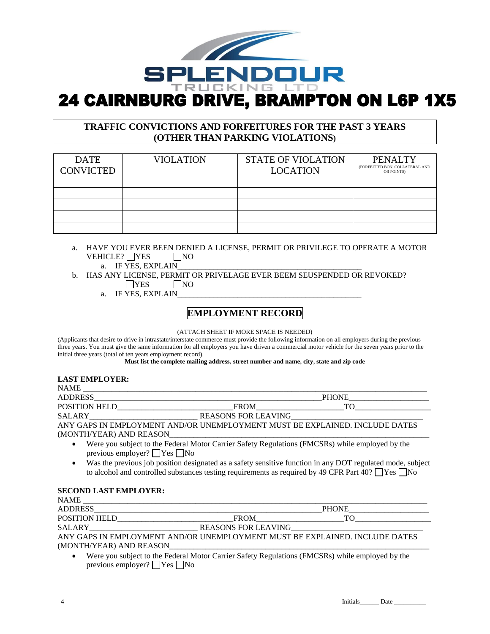

# **TRAFFIC CONVICTIONS AND FORFEITURES FOR THE PAST 3 YEARS (OTHER THAN PARKING VIOLATIONS)**

| <b>DATE</b><br><b>CONVICTED</b> | <b>VIOLATION</b> | <b>STATE OF VIOLATION</b><br><b>LOCATION</b> | <b>PENALTY</b><br>(FORFEITIED BON, COLLATERAL AND<br>OR POINTS) |
|---------------------------------|------------------|----------------------------------------------|-----------------------------------------------------------------|
|                                 |                  |                                              |                                                                 |
|                                 |                  |                                              |                                                                 |
|                                 |                  |                                              |                                                                 |
|                                 |                  |                                              |                                                                 |
|                                 |                  |                                              |                                                                 |

- a. HAVE YOU EVER BEEN DENIED A LICENSE, PERMIT OR PRIVILEGE TO OPERATE A MOTOR VEHICLE? YES NO
	- a. IF YES, EXPLAIN
- b. HAS ANY LICENSE, PERMIT OR PRIVELAGE EVER BEEM SEUSPENDED OR REVOKED?  $\Box$ YES  $\Box$ NO
	- a. IF YES, EXPLAIN\_

# **EMPLOYMENT RECORD**

(ATTACH SHEET IF MORE SPACE IS NEEDED)

(Applicants that desire to drive in intrastate/interstate commerce must provide the following information on all employers during the previous three years. You must give the same information for all employers you have driven a commercial motor vehicle for the seven years prior to the initial three years (total of ten years employment record).

**Must list the complete mailing address, street number and name, city, state and zip code**

#### **LAST EMPLOYER:**

| <b>NAME</b>          |                                                                                                 |              |  |
|----------------------|-------------------------------------------------------------------------------------------------|--------------|--|
| ADDRESS              |                                                                                                 | <b>PHONE</b> |  |
|                      |                                                                                                 | TO.          |  |
| <b>SALARY</b> SALARY |                                                                                                 |              |  |
|                      | ANY GAPS IN EMPLOYMENT AND/OR UNEMPLOYMENT MUST BE EXPLAINED. INCLUDE DATES                     |              |  |
|                      |                                                                                                 |              |  |
|                      | Were you subject to the Federal Motor Carrier Safety Regulations (FMCSRs) while employed by the |              |  |

- Were you subject to the Federal Motor Carrier Safety Regulations (FMCSRs) while employed by the previous employer?  $\Box$  Yes  $\Box$  No
- Was the previous job position designated as a safety sensitive function in any DOT regulated mode, subject to alcohol and controlled substances testing requirements as required by 49 CFR Part 40?  $\Box$  Yes  $\Box$  No

#### **SECOND LAST EMPLOYER:**

| <b>NAME</b>             |                                                                             |              |
|-------------------------|-----------------------------------------------------------------------------|--------------|
| <b>ADDRESS</b>          |                                                                             | <b>PHONE</b> |
| <b>POSITION HELD</b>    | <b>FROM</b>                                                                 |              |
| <b>SALARY</b>           | <b>REASONS FOR LEAVING</b>                                                  |              |
|                         | ANY GAPS IN EMPLOYMENT AND/OR UNEMPLOYMENT MUST BE EXPLAINED. INCLUDE DATES |              |
| (MONTH/YEAR) AND REASON |                                                                             |              |

• Were you subject to the Federal Motor Carrier Safety Regulations (FMCSRs) while employed by the previous employer?  $\Box$  Yes  $\Box$  No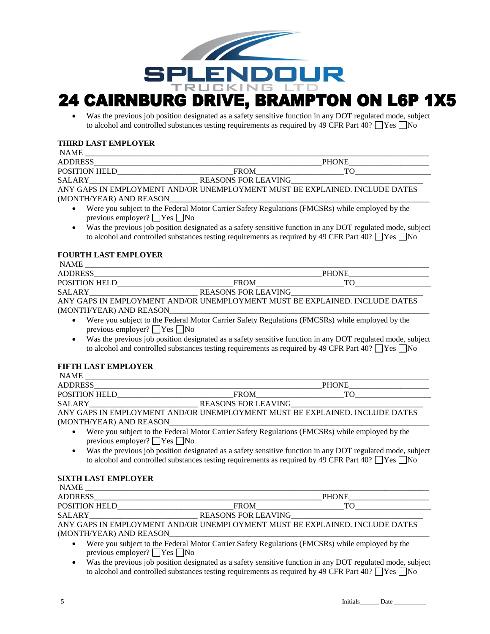

# **24 CAIRNBURG DRIVE, BRAMPTON ON L6P 1X5**

Was the previous job position designated as a safety sensitive function in any DOT regulated mode, subject to alcohol and controlled substances testing requirements as required by 49 CFR Part 40?  $\Box$  Yes  $\Box$  No

#### **THIRD LAST EMPLOYER**

| <b>NAME</b>             |                                                                             |              |
|-------------------------|-----------------------------------------------------------------------------|--------------|
| <b>ADDRESS</b>          |                                                                             | <b>PHONE</b> |
| <b>POSITION HELD</b>    | <b>FROM</b>                                                                 |              |
| <b>SALARY</b>           | REASONS FOR LEAVING                                                         |              |
|                         | ANY GAPS IN EMPLOYMENT AND/OR UNEMPLOYMENT MUST BE EXPLAINED. INCLUDE DATES |              |
| (MONTH/YEAR) AND REASON |                                                                             |              |

- Were you subject to the Federal Motor Carrier Safety Regulations (FMCSRs) while employed by the previous employer?  $\Box$  Yes  $\Box$  No
- Was the previous job position designated as a safety sensitive function in any DOT regulated mode, subject to alcohol and controlled substances testing requirements as required by 49 CFR Part 40?  $\Box$  Yes  $\Box$  No

#### **FOURTH LAST EMPLOYER**

| <b>NAME</b>             |                                                                             |              |
|-------------------------|-----------------------------------------------------------------------------|--------------|
| <b>ADDRESS</b>          |                                                                             | <b>PHONE</b> |
| <b>POSITION HELD</b>    | <b>FROM</b>                                                                 |              |
| <b>SALARY</b>           | <b>REASONS FOR LEAVING</b>                                                  |              |
|                         | ANY GAPS IN EMPLOYMENT AND/OR UNEMPLOYMENT MUST BE EXPLAINED. INCLUDE DATES |              |
| (MONTH/YEAR) AND REASON |                                                                             |              |

- Were you subject to the Federal Motor Carrier Safety Regulations (FMCSRs) while employed by the previous employer?  $\Box$  Yes  $\Box$  No
- Was the previous job position designated as a safety sensitive function in any DOT regulated mode, subject to alcohol and controlled substances testing requirements as required by 49 CFR Part 40?  $\Box$  Yes  $\Box$  No

#### **FIFTH LAST EMPLOYER**

| <b>NAME</b>             |                                                                             |              |
|-------------------------|-----------------------------------------------------------------------------|--------------|
| <b>ADDRESS</b>          |                                                                             | <b>PHONE</b> |
| <b>POSITION HELD</b>    | <b>FROM</b>                                                                 |              |
| <b>SALARY</b>           | <b>REASONS FOR LEAVING</b>                                                  |              |
|                         | ANY GAPS IN EMPLOYMENT AND/OR UNEMPLOYMENT MUST BE EXPLAINED. INCLUDE DATES |              |
| (MONTH/YEAR) AND REASON |                                                                             |              |
|                         |                                                                             |              |

- Were you subject to the Federal Motor Carrier Safety Regulations (FMCSRs) while employed by the previous employer?  $\Box$  Yes  $\Box$  No
- Was the previous job position designated as a safety sensitive function in any DOT regulated mode, subject to alcohol and controlled substances testing requirements as required by 49 CFR Part 40?  $\Box$  Yes  $\Box$  No

#### **SIXTH LAST EMPLOYER**

| <b>NAME</b>          |                                                                                     |              |  |
|----------------------|-------------------------------------------------------------------------------------|--------------|--|
| <b>ADDRESS</b>       |                                                                                     | <b>PHONE</b> |  |
| <b>POSITION HELD</b> | <b>FROM</b>                                                                         |              |  |
| <b>SALARY</b>        | <b>REASONS FOR LEAVING</b>                                                          |              |  |
|                      | A NIV CA DE IN EMBLOVA (EMFLAND/OD HMEMBLOVA (EMFLAHET DE EVDLAIMED, IMCLHIDE DATEC |              |  |

ANY GAPS IN EMPLOYMENT AND/OR UNEMPLOYMENT MUST BE EXPLAINED. INCLUDE DATES (MONTH/YEAR) AND REASON

- Were you subject to the Federal Motor Carrier Safety Regulations (FMCSRs) while employed by the previous employer?  $\Box$  Yes  $\Box$  No
- Was the previous job position designated as a safety sensitive function in any DOT regulated mode, subject to alcohol and controlled substances testing requirements as required by 49 CFR Part 40?  $\Box$  Yes  $\Box$  No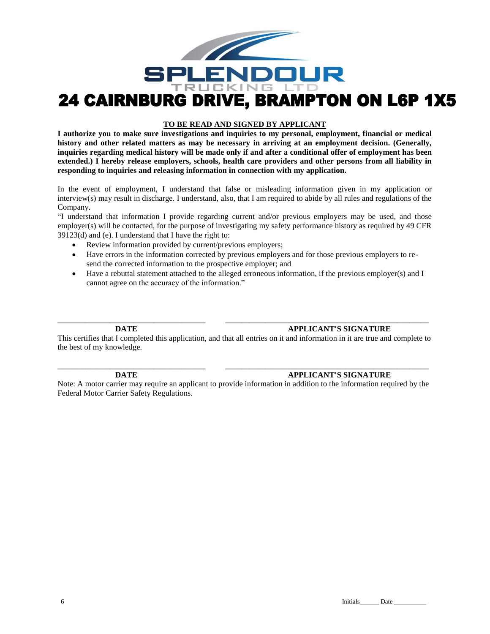

#### **TO BE READ AND SIGNED BY APPLICANT**

**I authorize you to make sure investigations and inquiries to my personal, employment, financial or medical history and other related matters as may be necessary in arriving at an employment decision. (Generally, inquiries regarding medical history will be made only if and after a conditional offer of employment has been extended.) I hereby release employers, schools, health care providers and other persons from all liability in responding to inquiries and releasing information in connection with my application.**

In the event of employment, I understand that false or misleading information given in my application or interview(s) may result in discharge. I understand, also, that I am required to abide by all rules and regulations of the Company.

"I understand that information I provide regarding current and/or previous employers may be used, and those employer(s) will be contacted, for the purpose of investigating my safety performance history as required by 49 CFR 39123(d) and (e). I understand that I have the right to:

- Review information provided by current/previous employers;
- Have errors in the information corrected by previous employers and for those previous employers to resend the corrected information to the prospective employer; and
- Have a rebuttal statement attached to the alleged erroneous information, if the previous employer(s) and I cannot agree on the accuracy of the information."

#### **DATE APPLICANT'S SIGNATURE**

This certifies that I completed this application, and that all entries on it and information in it are true and complete to the best of my knowledge.

\_\_\_\_\_\_\_\_\_\_\_\_\_\_\_\_\_\_\_\_\_\_\_\_\_\_\_\_\_\_\_\_\_\_\_\_\_ \_\_\_\_\_\_\_\_\_\_\_\_\_\_\_\_\_\_\_\_\_\_\_\_\_\_\_\_\_\_\_\_\_\_\_\_\_\_\_\_\_\_\_\_\_\_\_\_\_\_\_

#### **DATE APPLICANT'S SIGNATURE**

Note: A motor carrier may require an applicant to provide information in addition to the information required by the Federal Motor Carrier Safety Regulations.

\_\_\_\_\_\_\_\_\_\_\_\_\_\_\_\_\_\_\_\_\_\_\_\_\_\_\_\_\_\_\_\_\_\_\_\_\_ \_\_\_\_\_\_\_\_\_\_\_\_\_\_\_\_\_\_\_\_\_\_\_\_\_\_\_\_\_\_\_\_\_\_\_\_\_\_\_\_\_\_\_\_\_\_\_\_\_\_\_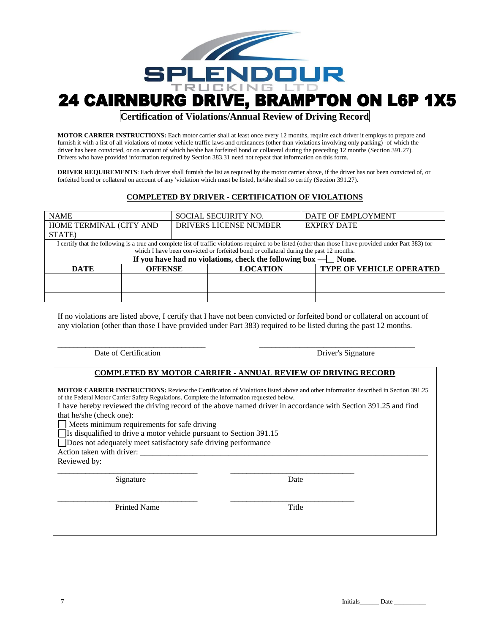

### **Certification of Violations/Annual Review of Driving Record**

**MOTOR CARRIER INSTRUCTIONS:** Each motor carrier shall at least once every 12 months, require each driver it employs to prepare and furnish it with a list of all violations of motor vehicle traffic laws and ordinances (other than violations involving only parking) -of which the driver has been convicted, or on account of which he/she has forfeited bond or collateral during the preceding 12 months (Section 391.27). Drivers who have provided information required by Section 383.31 need not repeat that information on this form.

**DRIVER REQUIREMENTS**: Each driver shall furnish the list as required by the motor carrier above, if the driver has not been convicted of, or forfeited bond or collateral on account of any 'violation which must be listed, he/she shall so certify (Section 391.27).

#### **COMPLETED BY DRIVER - CERTIFICATION OF VIOLATIONS**

| <b>NAME</b>             |                | SOCIAL SECUIRITY NO.                                                                   |                 | DATE OF EMPLOYMENT                                                                                                                                         |
|-------------------------|----------------|----------------------------------------------------------------------------------------|-----------------|------------------------------------------------------------------------------------------------------------------------------------------------------------|
| HOME TERMINAL (CITY AND |                | <b>DRIVERS LICENSE NUMBER</b>                                                          |                 | <b>EXPIRY DATE</b>                                                                                                                                         |
| STATE)                  |                |                                                                                        |                 |                                                                                                                                                            |
|                         |                |                                                                                        |                 | I certify that the following is a true and complete list of traffic violations required to be listed (other than those I have provided under Part 383) for |
|                         |                | which I have been convicted or forfeited bond or collateral during the past 12 months. |                 |                                                                                                                                                            |
|                         |                | If you have had no violations, check the following box $-\Box$ None.                   |                 |                                                                                                                                                            |
| DATE                    | <b>OFFENSE</b> |                                                                                        | <b>LOCATION</b> | TYPE OF VEHICLE OPERATED                                                                                                                                   |
|                         |                |                                                                                        |                 |                                                                                                                                                            |
|                         |                |                                                                                        |                 |                                                                                                                                                            |
|                         |                |                                                                                        |                 |                                                                                                                                                            |

If no violations are listed above, I certify that I have not been convicted or forfeited bond or collateral on account of any violation (other than those I have provided under Part 383) required to be listed during the past 12 months.

\_\_\_\_\_\_\_\_\_\_\_\_\_\_\_\_\_\_\_\_\_\_\_\_\_\_\_\_\_\_\_\_\_\_\_\_\_ \_\_\_\_\_\_\_\_\_\_\_\_\_\_\_\_\_\_\_\_\_\_\_\_\_\_\_\_\_\_\_\_\_\_\_\_\_\_\_

|  | Date of Certification |
|--|-----------------------|
|--|-----------------------|

Driver's Signature

#### **COMPLETED BY MOTOR CARRIER - ANNUAL REVIEW OF DRIVING RECORD**

| <b>MOTOR CARRIER INSTRUCTIONS:</b> Review the Certification of Violations listed above and other information described in Section 391.25<br>of the Federal Motor Carrier Safety Regulations. Complete the information requested below.<br>I have hereby reviewed the driving record of the above named driver in accordance with Section 391.25 and find<br>that he/she (check one):<br>$\Box$ Meets minimum requirements for safe driving<br>$\Box$ Is disqualified to drive a motor vehicle pursuant to Section 391.15<br>Does not adequately meet satisfactory safe driving performance<br>Action taken with driver:<br>Reviewed by: |  |  |  |  |  |
|-----------------------------------------------------------------------------------------------------------------------------------------------------------------------------------------------------------------------------------------------------------------------------------------------------------------------------------------------------------------------------------------------------------------------------------------------------------------------------------------------------------------------------------------------------------------------------------------------------------------------------------------|--|--|--|--|--|
| Date<br>Signature                                                                                                                                                                                                                                                                                                                                                                                                                                                                                                                                                                                                                       |  |  |  |  |  |
| Title<br><b>Printed Name</b>                                                                                                                                                                                                                                                                                                                                                                                                                                                                                                                                                                                                            |  |  |  |  |  |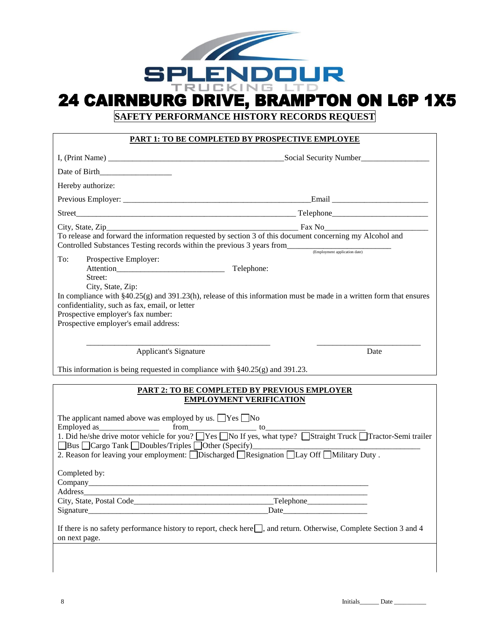

**SAFETY PERFORMANCE HISTORY RECORDS REQUEST**

#### **PART 1: TO BE COMPLETED BY PROSPECTIVE EMPLOYEE**

|                                                                                                                             | Social Security Number                                                                                                                   |
|-----------------------------------------------------------------------------------------------------------------------------|------------------------------------------------------------------------------------------------------------------------------------------|
|                                                                                                                             |                                                                                                                                          |
| Hereby authorize:                                                                                                           |                                                                                                                                          |
|                                                                                                                             |                                                                                                                                          |
|                                                                                                                             |                                                                                                                                          |
| Controlled Substances Testing records within the previous 3 years from<br>(Employment application date)                     | To release and forward the information requested by section 3 of this document concerning my Alcohol and                                 |
| To:<br>Prospective Employer:<br>Attention<br>Street:<br>City, State, Zip:<br>confidentiality, such as fax, email, or letter | Telephone:<br>In compliance with $\S 40.25(g)$ and $391.23(h)$ , release of this information must be made in a written form that ensures |
| Prospective employer's fax number:<br>Prospective employer's email address:                                                 |                                                                                                                                          |
| <b>Applicant's Signature</b>                                                                                                | Date                                                                                                                                     |

This information is being requested in compliance with §40.25(g) and 391.23.

#### **PART 2: TO BE COMPLETED BY PREVIOUS EMPLOYER EMPLOYMENT VERIFICATION**

| The applicant named above was employed by us. $\Box$ Yes $\Box$ No<br>1. Did he/she drive motor vehicle for you? TYes TNo If yes, what type? TStraight Truck Tractor-Semi trailer<br>□ Bus □ Cargo Tank □ Doubles/Triples □ Other (Specify)<br>2. Reason for leaving your employment: Discharged Resignation DLay Off DMilitary Duty. |
|---------------------------------------------------------------------------------------------------------------------------------------------------------------------------------------------------------------------------------------------------------------------------------------------------------------------------------------|
|                                                                                                                                                                                                                                                                                                                                       |
| Completed by:                                                                                                                                                                                                                                                                                                                         |
| Address                                                                                                                                                                                                                                                                                                                               |
| $\Gamma$ elephone $\Gamma$                                                                                                                                                                                                                                                                                                            |
| Signature                                                                                                                                                                                                                                                                                                                             |
| If there is no safety performance history to report, check here $\Box$ , and return. Otherwise, Complete Section 3 and 4<br>on next page.                                                                                                                                                                                             |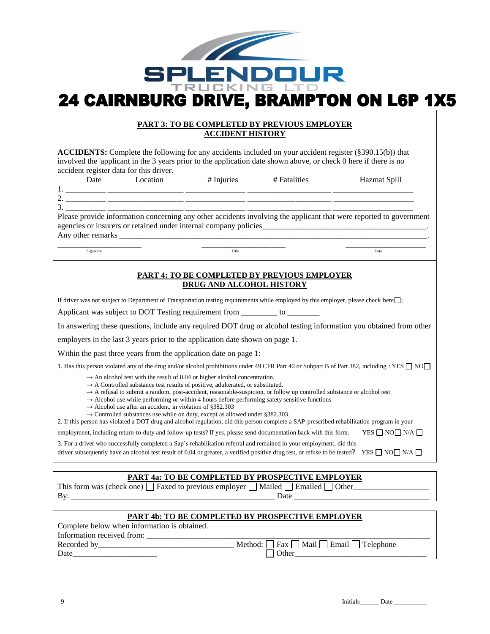

#### **PART 3: TO BE COMPLETED BY PREVIOUS EMPLOYER ACCIDENT HISTORY**

**ACCIDENTS:** Complete the following for any accidents included on your accident register (§390.15(b)) that involved the 'applicant in the 3 years prior to the application date shown above, or check 0 here if there is no accident register data for this driver.

|           | u |  |
|-----------|---|--|
| ۰<br>PU 1 |   |  |

1. \_\_\_\_\_\_\_\_\_\_ \_\_\_\_\_\_\_\_\_\_\_\_\_\_\_\_\_\_\_ \_\_\_\_\_\_\_\_\_\_\_\_\_\_\_ \_\_\_\_\_\_\_\_\_\_\_\_\_\_\_\_\_\_\_\_\_ \_\_\_\_\_\_\_\_\_\_\_\_\_\_\_\_\_\_\_\_ 2. \_\_\_\_\_\_\_\_\_\_ \_\_\_\_\_\_\_\_\_\_\_\_\_\_\_\_\_\_\_ \_\_\_\_\_\_\_\_\_\_\_\_\_\_\_ \_\_\_\_\_\_\_\_\_\_\_\_\_\_\_\_\_\_\_\_\_ \_\_\_\_\_\_\_\_\_\_\_\_\_\_\_\_\_\_\_\_

3. \_\_\_\_\_\_\_\_\_\_ \_\_\_\_\_\_\_\_\_\_\_\_\_\_\_\_\_\_\_ \_\_\_\_\_\_\_\_\_\_\_\_\_\_\_ \_\_\_\_\_\_\_\_\_\_\_\_\_\_\_\_\_\_\_\_\_ \_\_\_\_\_\_\_\_\_\_\_\_\_\_\_\_\_\_\_\_ Please provide information concerning any other accidents involving the applicant that were reported to government agencies or insurers or retained under internal company policies\_\_\_\_\_\_\_\_\_\_\_\_\_\_\_\_\_ Any other remarks

\_\_\_\_\_\_\_\_\_\_\_\_\_\_\_\_\_\_\_\_\_ \_\_\_\_\_\_\_\_\_\_\_\_\_\_\_\_\_\_\_\_\_ \_\_\_\_\_\_\_\_\_\_\_\_\_\_\_\_\_\_\_\_ Signature **Date** Date **Date** Date **Date Date Date Date Date Date Date Date Date Date Date Date** 

Date Location # Injuries # Fatalities Hazmat Spill

#### **PART 4: TO BE COMPLETED BY PREVIOUS EMPLOYER DRUG AND ALCOHOL HISTORY**

If driver was not subject to Department of Transportation testing requirements while employed by this employer, please check here $\Box$ ;

Applicant was subject to DOT Testing requirement from \_\_\_\_\_\_\_\_\_\_ to \_\_\_\_\_\_\_

In answering these questions, include any required DOT drug or alcohol testing information you obtained from other

employers in the last 3 years prior to the application date shown on page 1.

Within the past three years from the application date on page 1:

1. Has this person violated any of the drug and/or alcohol prohibitions under 49 CFR Part 40 or Subpart B of Part 382, including : YES  $\Box$  NO $\Box$ 

 $\rightarrow$  An alcohol test with the result of 0.04 or higher alcohol concentration.

- $\rightarrow$  A Controlled substance test results of positive, adulterated, or substituted.
- → A refusal to submit a random, post-accident, reasonable-suspicion, or follow up controlled substance or alcohol test
- $\rightarrow$  Alcohol use while performing or within 4 hours before performing safety sensitive functions
- $\rightarrow$  Alcohol use after an accident, in violation of §382.303
- $\rightarrow$  Controlled substances use while on duty, except as allowed under §382.303.

2. If this person has violated a DOT drug and alcohol regulation, did this person complete a SAP-prescribed rehabilitation program in your

employment, including return-to-duty and follow-up tests? If yes, please send documentation back with this form. YES  $\Box$  NO  $\Box$  N/A  $\Box$ 

3. For a driver who successfully completed a Sap's rehabilitation referral and remained in your employment, did this

driver subsequently have an alcohol test result of 0.04 or greater, a verified positive drug test, or refuse to be tested? YES  $\Box$  NO  $\Box$  N/A  $\Box$ 

#### **PART 4a: TO BE COMPLETED BY PROSPECTIVE EMPLOYER**

This form was (check one)  $\Box$  Faxed to previous employer  $\Box$  Mailed  $\Box$  Emailed  $\Box$  Other By: \_\_\_\_\_\_\_\_\_\_\_\_\_\_\_\_\_\_\_\_\_\_\_\_\_\_\_\_\_\_\_\_\_\_\_\_\_\_\_\_\_\_\_\_\_\_\_\_\_\_\_ Date \_\_\_\_\_\_\_\_\_\_\_\_\_\_\_\_\_\_\_\_\_\_\_\_\_\_\_\_\_\_\_\_\_\_

#### **PART 4b: TO BE COMPLETED BY PROSPECTIVE EMPLOYER** Complete below when information is obtained.

| Complete below when information is obtained. |                                                              |
|----------------------------------------------|--------------------------------------------------------------|
| Information received from:                   |                                                              |
| Recorded by                                  | Method: $\Box$ Fax $\Box$ Mail $\Box$ Email $\Box$ Telephone |
| Date                                         |                                                              |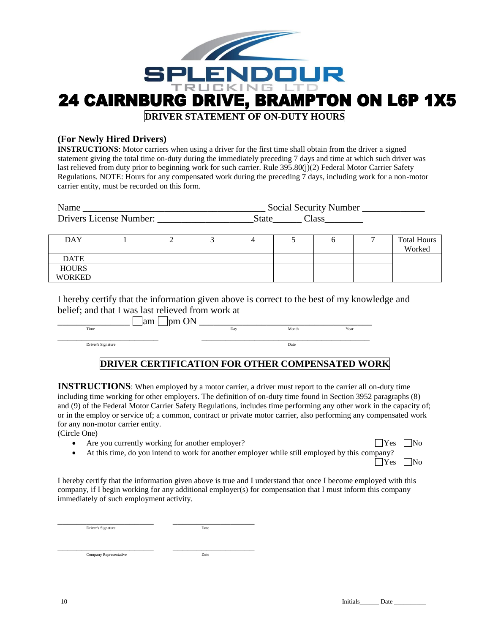

#### **(For Newly Hired Drivers)**

**INSTRUCTIONS**: Motor carriers when using a driver for the first time shall obtain from the driver a signed statement giving the total time on-duty during the immediately preceding 7 days and time at which such driver was last relieved from duty prior to beginning work for such carrier. Rule 395.80(j)(2) Federal Motor Carrier Safety Regulations. NOTE: Hours for any compensated work during the preceding 7 days, including work for a non-motor carrier entity, must be recorded on this form.

| Name                    | Social Security Number |        |  |
|-------------------------|------------------------|--------|--|
| Drivers License Number: | State                  | Alass: |  |

| <b>DAY</b>    |  |  |  | <b>Total Hours</b><br>Worked |
|---------------|--|--|--|------------------------------|
| <b>DATE</b>   |  |  |  |                              |
| <b>HOURS</b>  |  |  |  |                              |
| <b>WORKED</b> |  |  |  |                              |

I hereby certify that the information given above is correct to the best of my knowledge and belief; and that I was last relieved from work at

 $\boxed{\text{mm}}$  am  $\boxed{\text{pm ON}}$   $\boxed{\text{mm}}$   $\boxed{\text{mm}}$   $\boxed{\text{mm}}$   $\boxed{\text{mm}}$   $\boxed{\text{mm}}$   $\boxed{\text{mm}}$   $\boxed{\text{mm}}$   $\boxed{\text{mm}}$   $\boxed{\text{mm}}$   $\boxed{\text{mm}}$   $\boxed{\text{mm}}$   $\boxed{\text{mm}}$   $\boxed{\text{mm}}$   $\boxed{\text{mm}}$   $\boxed{\text{mm}}$   $\boxed{\text{mm}}$   $\boxed{\text{mm}}$   $\boxed{\text{mm}}$   $\boxed{\text{mm}}$   $\boxed{\text{mm$ Time Day Day Month Year \_\_\_\_\_\_\_\_\_\_\_\_\_\_\_\_\_\_\_\_\_ \_\_\_\_\_\_\_\_\_\_\_\_\_\_\_\_\_\_\_\_\_\_\_\_\_\_\_\_\_\_\_\_\_\_\_ Driver's Signature Date

## **DRIVER CERTIFICATION FOR OTHER COMPENSATED WORK**

**INSTRUCTIONS**: When employed by a motor carrier, a driver must report to the carrier all on-duty time including time working for other employers. The definition of on-duty time found in Section 3952 paragraphs (8) and (9) of the Federal Motor Carrier Safety Regulations, includes time performing any other work in the capacity of; or in the employ or service of; a common, contract or private motor carrier, also performing any compensated work for any non-motor carrier entity.

(Circle One)

• Are you currently working for another employer?  $\Box$  Yes  $\Box$  No

• At this time, do you intend to work for another employer while still employed by this company?

 $\Box$ Yes  $\Box$ No

I hereby certify that the information given above is true and I understand that once I become employed with this company, if I begin working for any additional employer(s) for compensation that I must inform this company immediately of such employment activity.

\_\_\_\_\_\_\_\_\_\_\_\_\_\_\_\_\_\_\_\_ \_\_\_\_\_\_\_\_\_\_\_\_\_\_\_\_\_ Driver's Signature Date Date Date Date

\_\_\_\_\_\_\_\_\_\_\_\_\_\_\_\_\_\_\_\_ \_\_\_\_\_\_\_\_\_\_\_\_\_\_\_\_\_ Company Representative Date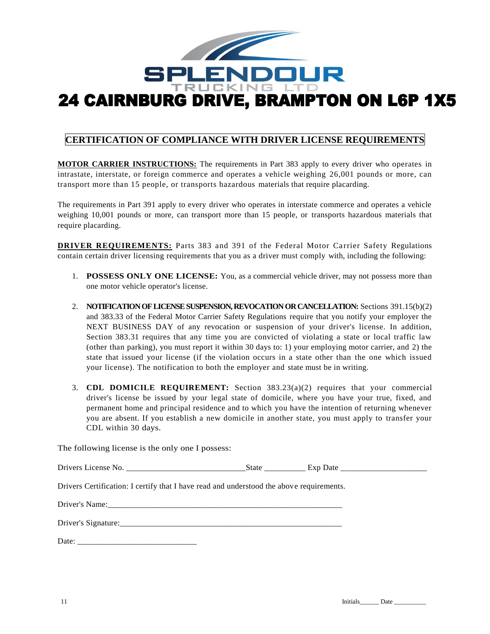

# **CERTIFICATION OF COMPLIANCE WITH DRIVER LICENSE REQUIREMENTS**

**MOTOR CARRIER INSTRUCTIONS:** The requirements in Part 383 apply to every driver who operates in intrastate, interstate, or foreign commerce and operates a vehicle weighing 26,001 pounds or more, can transport more than 15 people, or transports hazardous materials that require placarding.

The requirements in Part 391 apply to every driver who operates in interstate commerce and operates a vehicle weighing 10,001 pounds or more, can transport more than 15 people, or transports hazardous materials that require placarding.

**DRIVER REQUIREMENTS:** Parts 383 and 391 of the Federal Motor Carrier Safety Regulations contain certain driver licensing requirements that you as a driver must comply with, including the following:

- 1. **POSSESS ONLY ONE LICENSE:** You, as a commercial vehicle driver, may not possess more than one motor vehicle operator's license.
- 2. **NOTIFICATION OF LICENSE SUSPENSION, REVOCATION OR CANCELLATION:** Sections 391.15(b)(2) and 383.33 of the Federal Motor Carrier Safety Regulations require that you notify your employer the NEXT BUSINESS DAY of any revocation or suspension of your driver's license. In addition, Section 383.31 requires that any time you are convicted of violating a state or local traffic law (other than parking), you must report it within 30 days to: 1) your employing motor carrier, and 2) the state that issued your license (if the violation occurs in a state other than the one which issued your license). The notification to both the employer and state must be in writing.
- 3. **CDL DOMICILE REQUIREMENT:** Section 383.23(a)(2) requires that your commercial driver's license be issued by your legal state of domicile, where you have your true, fixed, and permanent home and principal residence and to which you have the intention of returning whenever you are absent. If you establish a new domicile in another state, you must apply to transfer your CDL within 30 days.

The following license is the only one I possess:

| Drivers Certification: I certify that I have read and understood the above requirements. |  |
|------------------------------------------------------------------------------------------|--|
|                                                                                          |  |
|                                                                                          |  |
|                                                                                          |  |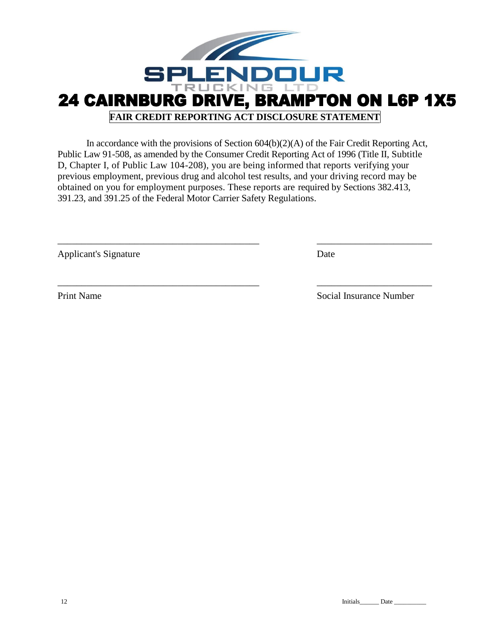

In accordance with the provisions of Section 604(b)(2)(A) of the Fair Credit Reporting Act, Public Law 91-508, as amended by the Consumer Credit Reporting Act of 1996 (Title II, Subtitle D, Chapter I, of Public Law 104-208), you are being informed that reports verifying your previous employment, previous drug and alcohol test results, and your driving record may be obtained on you for employment purposes. These reports are required by Sections 382.413, 391.23, and 391.25 of the Federal Motor Carrier Safety Regulations.

 $\_$  , and the contribution of the contribution of  $\overline{a}$  ,  $\overline{b}$  ,  $\overline{c}$  ,  $\overline{c}$  ,  $\overline{c}$  ,  $\overline{c}$  ,  $\overline{c}$  ,  $\overline{c}$  ,  $\overline{c}$  ,  $\overline{c}$  ,  $\overline{c}$  ,  $\overline{c}$  ,  $\overline{c}$  ,  $\overline{c}$  ,  $\overline{c}$  ,  $\overline{c$ 

\_\_\_\_\_\_\_\_\_\_\_\_\_\_\_\_\_\_\_\_\_\_\_\_\_\_\_\_\_\_\_\_\_\_\_\_\_\_\_\_\_\_ \_\_\_\_\_\_\_\_\_\_\_\_\_\_\_\_\_\_\_\_\_\_\_\_

Applicant's Signature Date

Print Name Social Insurance Number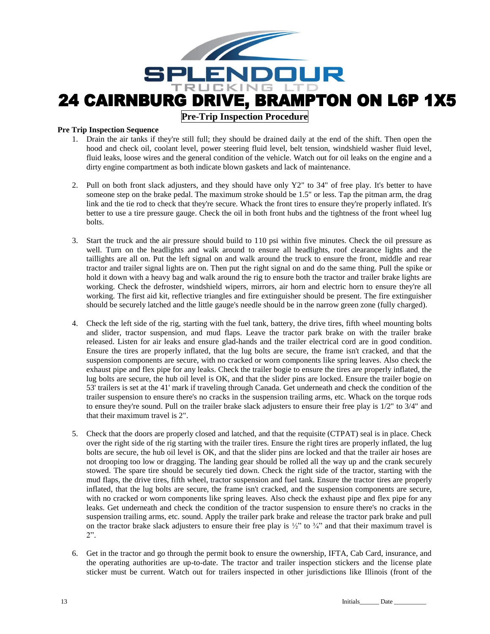

**Pre-Trip Inspection Procedure**

#### **Pre Trip Inspection Sequence**

- 1. Drain the air tanks if they're still full; they should be drained daily at the end of the shift. Then open the hood and check oil, coolant level, power steering fluid level, belt tension, windshield washer fluid level, fluid leaks, loose wires and the general condition of the vehicle. Watch out for oil leaks on the engine and a dirty engine compartment as both indicate blown gaskets and lack of maintenance.
- 2. Pull on both front slack adjusters, and they should have only Y2" to 34" of free play. It's better to have someone step on the brake pedal. The maximum stroke should be 1.5" or less. Tap the pitman arm, the drag link and the tie rod to check that they're secure. Whack the front tires to ensure they're properly inflated. It's better to use a tire pressure gauge. Check the oil in both front hubs and the tightness of the front wheel lug bolts.
- 3. Start the truck and the air pressure should build to 110 psi within five minutes. Check the oil pressure as well. Turn on the headlights and walk around to ensure all headlights, roof clearance lights and the taillights are all on. Put the left signal on and walk around the truck to ensure the front, middle and rear tractor and trailer signal lights are on. Then put the right signal on and do the same thing. Pull the spike or hold it down with a heavy bag and walk around the rig to ensure both the tractor and trailer brake lights are working. Check the defroster, windshield wipers, mirrors, air horn and electric horn to ensure they're all working. The first aid kit, reflective triangles and fire extinguisher should be present. The fire extinguisher should be securely latched and the little gauge's needle should be in the narrow green zone (fully charged).
- 4. Check the left side of the rig, starting with the fuel tank, battery, the drive tires, fifth wheel mounting bolts and slider, tractor suspension, and mud flaps. Leave the tractor park brake on with the trailer brake released. Listen for air leaks and ensure glad-hands and the trailer electrical cord are in good condition. Ensure the tires are properly inflated, that the lug bolts are secure, the frame isn't cracked, and that the suspension components are secure, with no cracked or worn components like spring leaves. Also check the exhaust pipe and flex pipe for any leaks. Check the trailer bogie to ensure the tires are properly inflated, the lug bolts are secure, the hub oil level is OK, and that the slider pins are locked. Ensure the trailer bogie on 53' trailers is set at the 41' mark if traveling through Canada. Get underneath and check the condition of the trailer suspension to ensure there's no cracks in the suspension trailing arms, etc. Whack on the torque rods to ensure they're sound. Pull on the trailer brake slack adjusters to ensure their free play is  $1/2$ " to  $3/4$ " and that their maximum travel is 2".
- 5. Check that the doors are properly closed and latched, and that the requisite (CTPAT) seal is in place. Check over the right side of the rig starting with the trailer tires. Ensure the right tires are properly inflated, the lug bolts are secure, the hub oil level is OK, and that the slider pins are locked and that the trailer air hoses are not drooping too low or dragging. The landing gear should be rolled all the way up and the crank securely stowed. The spare tire should be securely tied down. Check the right side of the tractor, starting with the mud flaps, the drive tires, fifth wheel, tractor suspension and fuel tank. Ensure the tractor tires are properly inflated, that the lug bolts are secure, the frame isn't cracked, and the suspension components are secure, with no cracked or worn components like spring leaves. Also check the exhaust pipe and flex pipe for any leaks. Get underneath and check the condition of the tractor suspension to ensure there's no cracks in the suspension trailing arms, etc. sound. Apply the trailer park brake and release the tractor park brake and pull on the tractor brake slack adjusters to ensure their free play is  $\frac{1}{2}$ " to  $\frac{3}{4}$ " and that their maximum travel is 2".
- 6. Get in the tractor and go through the permit book to ensure the ownership, IFTA, Cab Card, insurance, and the operating authorities are up-to-date. The tractor and trailer inspection stickers and the license plate sticker must be current. Watch out for trailers inspected in other jurisdictions like Illinois (front of the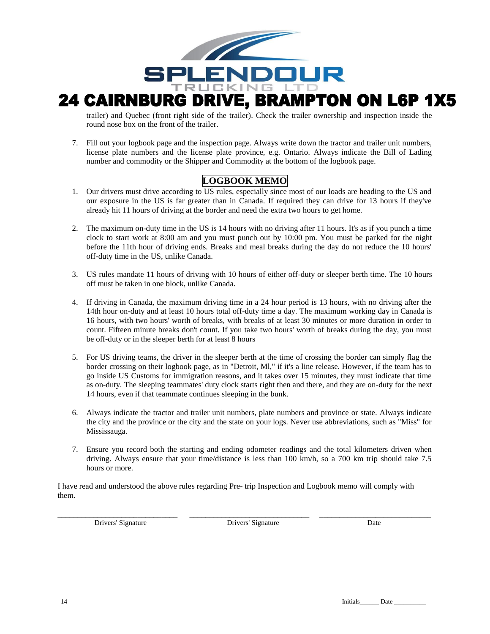

# 24 CAIRNBURG DRIVE, BRAMPTON ON L6P 1X5

trailer) and Quebec (front right side of the trailer). Check the trailer ownership and inspection inside the round nose box on the front of the trailer.

7. Fill out your logbook page and the inspection page. Always write down the tractor and trailer unit numbers, license plate numbers and the license plate province, e.g. Ontario. Always indicate the Bill of Lading number and commodity or the Shipper and Commodity at the bottom of the logbook page.

# **LOGBOOK MEMO**

- 1. Our drivers must drive according to US rules, especially since most of our loads are heading to the US and our exposure in the US is far greater than in Canada. If required they can drive for 13 hours if they've already hit 11 hours of driving at the border and need the extra two hours to get home.
- 2. The maximum on-duty time in the US is 14 hours with no driving after 11 hours. It's as if you punch a time clock to start work at 8:00 am and you must punch out by 10:00 pm. You must be parked for the night before the 11th hour of driving ends. Breaks and meal breaks during the day do not reduce the 10 hours' off-duty time in the US, unlike Canada.
- 3. US rules mandate 11 hours of driving with 10 hours of either off-duty or sleeper berth time. The 10 hours off must be taken in one block, unlike Canada.
- 4. If driving in Canada, the maximum driving time in a 24 hour period is 13 hours, with no driving after the 14th hour on-duty and at least 10 hours total off-duty time a day. The maximum working day in Canada is 16 hours, with two hours' worth of breaks, with breaks of at least 30 minutes or more duration in order to count. Fifteen minute breaks don't count. If you take two hours' worth of breaks during the day, you must be off-duty or in the sleeper berth for at least 8 hours
- 5. For US driving teams, the driver in the sleeper berth at the time of crossing the border can simply flag the border crossing on their logbook page, as in "Detroit, Ml," if it's a line release. However, if the team has to go inside US Customs for immigration reasons, and it takes over 15 minutes, they must indicate that time as on-duty. The sleeping teammates' duty clock starts right then and there, and they are on-duty for the next 14 hours, even if that teammate continues sleeping in the bunk.
- 6. Always indicate the tractor and trailer unit numbers, plate numbers and province or state. Always indicate the city and the province or the city and the state on your logs. Never use abbreviations, such as "Miss" for Mississauga.
- 7. Ensure you record both the starting and ending odometer readings and the total kilometers driven when driving. Always ensure that your time/distance is less than 100 km/h, so a 700 km trip should take 7.5 hours or more.

I have read and understood the above rules regarding Pre- trip Inspection and Logbook memo will comply with them.

Drivers' Signature Drivers' Signature Date

\_\_\_\_\_\_\_\_\_\_\_\_\_\_\_\_\_\_\_\_\_\_\_\_\_\_\_\_\_\_ \_\_\_\_\_\_\_\_\_\_\_\_\_\_\_\_\_\_\_\_\_\_\_\_\_\_\_\_\_\_ \_\_\_\_\_\_\_\_\_\_\_\_\_\_\_\_\_\_\_\_\_\_\_\_\_\_\_\_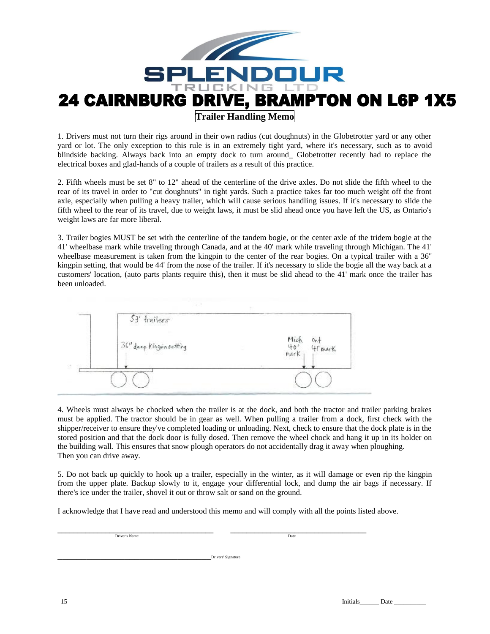

1. Drivers must not turn their rigs around in their own radius (cut doughnuts) in the Globetrotter yard or any other yard or lot. The only exception to this rule is in an extremely tight yard, where it's necessary, such as to avoid blindside backing. Always back into an empty dock to turn around\_ Globetrotter recently had to replace the electrical boxes and glad-hands of a couple of trailers as a result of this practice.

2. Fifth wheels must be set 8" to 12" ahead of the centerline of the drive axles. Do not slide the fifth wheel to the rear of its travel in order to "cut doughnuts" in tight yards. Such a practice takes far too much weight off the front axle, especially when pulling a heavy trailer, which will cause serious handling issues. If it's necessary to slide the fifth wheel to the rear of its travel, due to weight laws, it must be slid ahead once you have left the US, as Ontario's weight laws are far more liberal.

3. Trailer bogies MUST be set with the centerline of the tandem bogie, or the center axle of the tridem bogie at the 41' wheelbase mark while traveling through Canada, and at the 40' mark while traveling through Michigan. The 41' wheelbase measurement is taken from the kingpin to the center of the rear bogies. On a typical trailer with a 36" kingpin setting, that would be 44' from the nose of the trailer. If it's necessary to slide the bogie all the way back at a customers' location, (auto parts plants require this), then it must be slid ahead to the 41' mark once the trailer has been unloaded.

|   | 53' frailers                                   |                                                   |
|---|------------------------------------------------|---------------------------------------------------|
|   | $\int^{36^{\prime\prime}}$ deep Kingwinsetting | Mich<br>40'<br>mark<br>$0r +$<br>$41 \text{ max}$ |
| 読 |                                                |                                                   |

4. Wheels must always be chocked when the trailer is at the dock, and both the tractor and trailer parking brakes must be applied. The tractor should be in gear as well. When pulling a trailer from a dock, first check with the shipper/receiver to ensure they've completed loading or unloading. Next, check to ensure that the dock plate is in the stored position and that the dock door is fully dosed. Then remove the wheel chock and hang it up in its holder on the building wall. This ensures that snow plough operators do not accidentally drag it away when ploughing. Then you can drive away.

5. Do not back up quickly to hook up a trailer, especially in the winter, as it will damage or even rip the kingpin from the upper plate. Backup slowly to it, engage your differential lock, and dump the air bags if necessary. If there's ice under the trailer, shovel it out or throw salt or sand on the ground.

I acknowledge that I have read and understood this memo and will comply with all the points listed above.

\_\_\_\_\_\_\_\_\_\_\_\_\_\_\_\_\_\_\_\_\_\_\_\_\_\_\_\_\_\_\_\_\_\_\_\_\_\_\_ \_\_\_\_\_\_\_\_\_\_\_\_\_\_\_\_\_\_\_\_\_\_\_\_\_\_\_\_\_\_\_\_\_\_ Driver's Name Date of the United States of the United States of the United States of the United States of the U

\_\_\_\_\_\_\_\_\_\_\_\_\_\_\_\_\_\_\_\_\_\_\_\_\_\_\_\_\_\_\_\_Drivers' Signature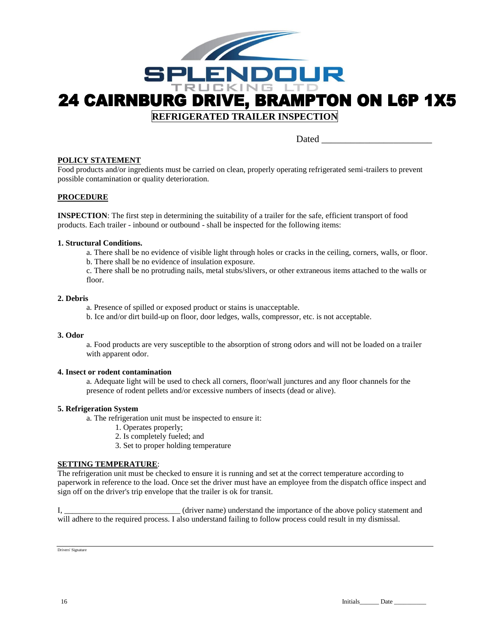

Dated **Dates and Security and Security and Security and Security and Security and Security and Security and Security and Security and Security and Security and Security and Security and Security and Security and Security a** 

#### **POLICY STATEMENT**

Food products and/or ingredients must be carried on clean, properly operating refrigerated semi-trailers to prevent possible contamination or quality deterioration.

#### **PROCEDURE**

**INSPECTION**: The first step in determining the suitability of a trailer for the safe, efficient transport of food products. Each trailer - inbound or outbound - shall be inspected for the following items:

#### **1. Structural Conditions.**

a. There shall be no evidence of visible light through holes or cracks in the ceiling, corners, walls, or floor. b. There shall be no evidence of insulation exposure.

c. There shall be no protruding nails, metal stubs/slivers, or other extraneous items attached to the walls or floor.

#### **2. Debris**

- a. Presence of spilled or exposed product or stains is unacceptable.
- b. Ice and/or dirt build-up on floor, door ledges, walls, compressor, etc. is not acceptable.

#### **3. Odor**

a. Food products are very susceptible to the absorption of strong odors and will not be loaded on a trailer with apparent odor.

#### **4. Insect or rodent contamination**

a. Adequate light will be used to check all corners, floor/wall junctures and any floor channels for the presence of rodent pellets and/or excessive numbers of insects (dead or alive).

#### **5. Refrigeration System**

a. The refrigeration unit must be inspected to ensure it:

- 1. Operates properly;
- 2. Is completely fueled; and
- 3. Set to proper holding temperature

#### **SETTING TEMPERATURE**:

The refrigeration unit must be checked to ensure it is running and set at the correct temperature according to paperwork in reference to the load. Once set the driver must have an employee from the dispatch office inspect and sign off on the driver's trip envelope that the trailer is ok for transit.

I, \_\_\_\_\_\_\_\_\_\_\_\_\_\_\_\_\_\_\_\_\_\_\_\_\_\_\_\_\_ (driver name) understand the importance of the above policy statement and will adhere to the required process. I also understand failing to follow process could result in my dismissal.

Drivers' Signature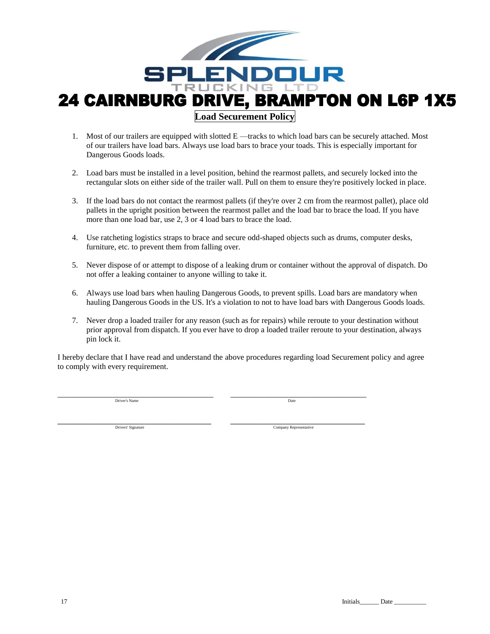

- 1. Most of our trailers are equipped with slotted E —tracks to which load bars can be securely attached. Most of our trailers have load bars. Always use load bars to brace your toads. This is especially important for Dangerous Goods loads.
- 2. Load bars must be installed in a level position, behind the rearmost pallets, and securely locked into the rectangular slots on either side of the trailer wall. Pull on them to ensure they're positively locked in place.
- 3. If the load bars do not contact the rearmost pallets (if they're over 2 cm from the rearmost pallet), place old pallets in the upright position between the rearmost pallet and the load bar to brace the load. If you have more than one load bar, use 2, 3 or 4 load bars to brace the load.
- 4. Use ratcheting logistics straps to brace and secure odd-shaped objects such as drums, computer desks, furniture, etc. to prevent them from falling over.
- 5. Never dispose of or attempt to dispose of a leaking drum or container without the approval of dispatch. Do not offer a leaking container to anyone willing to take it.
- 6. Always use load bars when hauling Dangerous Goods, to prevent spills. Load bars are mandatory when hauling Dangerous Goods in the US. It's a violation to not to have load bars with Dangerous Goods loads.
- 7. Never drop a loaded trailer for any reason (such as for repairs) while reroute to your destination without prior approval from dispatch. If you ever have to drop a loaded trailer reroute to your destination, always pin lock it.

I hereby declare that I have read and understand the above procedures regarding load Securement policy and agree to comply with every requirement.

Driver's Name Date of the United States of the United States of the United States of the United States of the United States of the United States of the United States of the United States of the United States of the United

\_\_\_\_\_\_\_\_\_\_\_\_\_\_\_\_\_\_\_\_\_\_\_\_\_\_\_\_\_\_\_\_\_\_\_\_\_\_\_ \_\_\_\_\_\_\_\_\_\_\_\_\_\_\_\_\_\_\_\_\_\_\_\_\_\_\_\_\_\_\_\_\_\_

\_\_\_\_\_\_\_\_\_\_\_\_\_\_\_\_\_\_\_\_\_\_\_\_\_\_\_\_\_\_\_\_ \_\_\_\_\_\_\_\_\_\_\_\_\_\_\_\_\_\_\_\_\_\_\_\_\_\_\_\_

Drivers' Signature Company Representative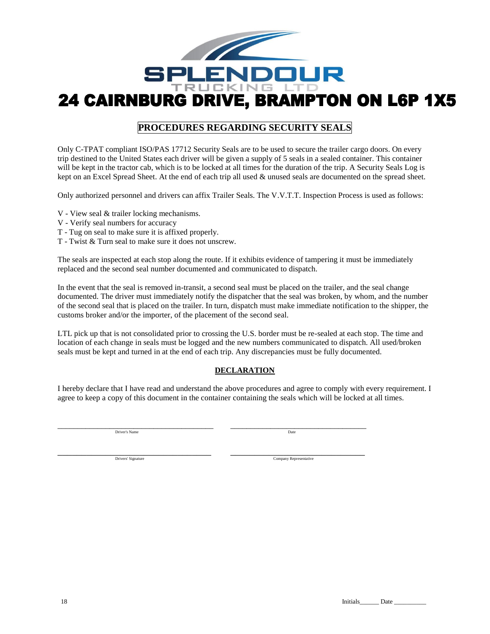

## **PROCEDURES REGARDING SECURITY SEALS**

Only C-TPAT compliant ISO/PAS 17712 Security Seals are to be used to secure the trailer cargo doors. On every trip destined to the United States each driver will be given a supply of 5 seals in a sealed container. This container will be kept in the tractor cab, which is to be locked at all times for the duration of the trip. A Security Seals Log is kept on an Excel Spread Sheet. At the end of each trip all used & unused seals are documented on the spread sheet.

Only authorized personnel and drivers can affix Trailer Seals. The V.V.T.T. Inspection Process is used as follows:

- V View seal & trailer locking mechanisms.
- V Verify seal numbers for accuracy
- T Tug on seal to make sure it is affixed properly.
- T Twist & Turn seal to make sure it does not unscrew.

The seals are inspected at each stop along the route. If it exhibits evidence of tampering it must be immediately replaced and the second seal number documented and communicated to dispatch.

In the event that the seal is removed in-transit, a second seal must be placed on the trailer, and the seal change documented. The driver must immediately notify the dispatcher that the seal was broken, by whom, and the number of the second seal that is placed on the trailer. In turn, dispatch must make immediate notification to the shipper, the customs broker and/or the importer, of the placement of the second seal.

LTL pick up that is not consolidated prior to crossing the U.S. border must be re-sealed at each stop. The time and location of each change in seals must be logged and the new numbers communicated to dispatch. All used/broken seals must be kept and turned in at the end of each trip. Any discrepancies must be fully documented.

#### **DECLARATION**

I hereby declare that I have read and understand the above procedures and agree to comply with every requirement. I agree to keep a copy of this document in the container containing the seals which will be locked at all times.

\_\_\_\_\_\_\_\_\_\_\_\_\_\_\_\_\_\_\_\_\_\_\_\_\_\_\_\_\_\_\_\_\_\_\_\_\_\_\_ \_\_\_\_\_\_\_\_\_\_\_\_\_\_\_\_\_\_\_\_\_\_\_\_\_\_\_\_\_\_\_\_\_\_ Driver's Name Date of the United States of the United States of the United States of the United States of the United States of the United States of the United States of the United States of the United States of the United

\_\_\_\_\_\_\_\_\_\_\_\_\_\_\_\_\_\_\_\_\_\_\_\_\_\_\_\_\_\_\_\_ \_\_\_\_\_\_\_\_\_\_\_\_\_\_\_\_\_\_\_\_\_\_\_\_\_\_\_\_ Drivers' Signature Company Representative

18 Initials\_\_\_\_\_\_ Date \_\_\_\_\_\_\_\_\_\_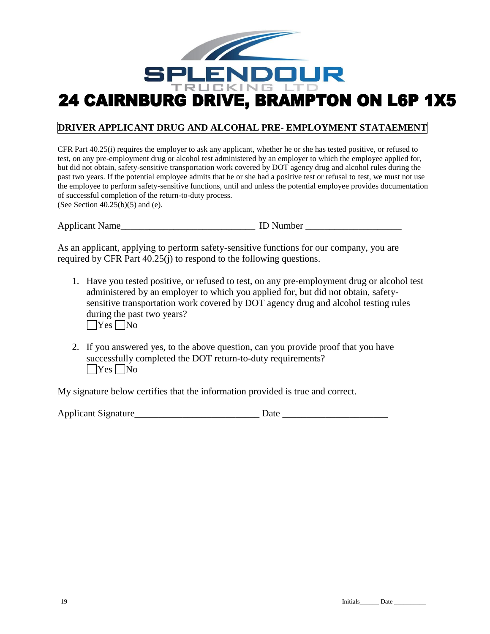

# **DRIVER APPLICANT DRUG AND ALCOHAL PRE- EMPLOYMENT STATAEMENT**

CFR Part 40.25(i) requires the employer to ask any applicant, whether he or she has tested positive, or refused to test, on any pre-employment drug or alcohol test administered by an employer to which the employee applied for, but did not obtain, safety-sensitive transportation work covered by DOT agency drug and alcohol rules during the past two years. If the potential employee admits that he or she had a positive test or refusal to test, we must not use the employee to perform safety-sensitive functions, until and unless the potential employee provides documentation of successful completion of the return-to-duty process. (See Section  $40.25(b)(5)$  and (e).

Applicant Name  $\Box$  and  $\Box$  ID Number  $\Box$ 

As an applicant, applying to perform safety-sensitive functions for our company, you are required by CFR Part 40.25(j) to respond to the following questions.

- 1. Have you tested positive, or refused to test, on any pre-employment drug or alcohol test administered by an employer to which you applied for, but did not obtain, safetysensitive transportation work covered by DOT agency drug and alcohol testing rules during the past two years?  $\bigcap$ Yes  $\bigcap$ No
- 2. If you answered yes, to the above question, can you provide proof that you have successfully completed the DOT return-to-duty requirements?  $\Box$ Yes  $\Box$ No

My signature below certifies that the information provided is true and correct.

| <b>Applicant Signature</b> | Jatr |  |
|----------------------------|------|--|
|                            |      |  |
|                            |      |  |